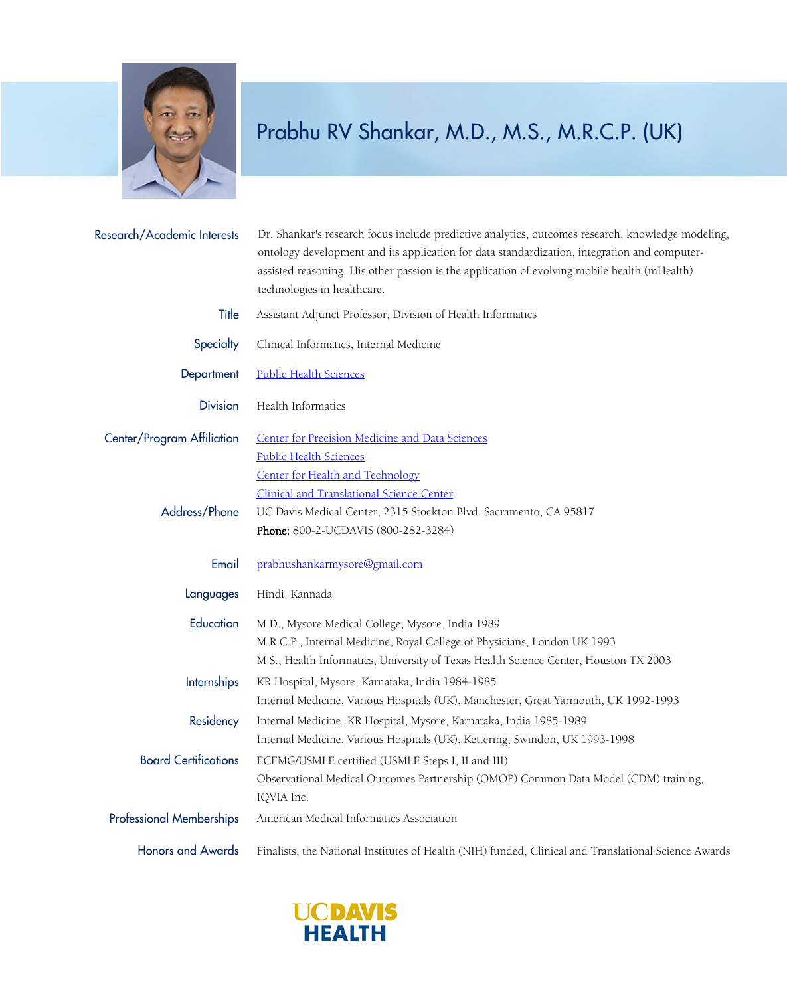

## Prabhu RV Shankar, M.D., M.S., M.R.C.P. (UK)

| Research/Academic Interests     | Dr. Shankar's research focus include predictive analytics, outcomes research, knowledge modeling,<br>ontology development and its application for data standardization, integration and computer-<br>assisted reasoning. His other passion is the application of evolving mobile health (mHealth)<br>technologies in healthcare. |
|---------------------------------|----------------------------------------------------------------------------------------------------------------------------------------------------------------------------------------------------------------------------------------------------------------------------------------------------------------------------------|
| Title                           | Assistant Adjunct Professor, Division of Health Informatics                                                                                                                                                                                                                                                                      |
| Specialty                       | Clinical Informatics, Internal Medicine                                                                                                                                                                                                                                                                                          |
| Department                      | <b>Public Health Sciences</b>                                                                                                                                                                                                                                                                                                    |
| <b>Division</b>                 | Health Informatics                                                                                                                                                                                                                                                                                                               |
| Center/Program Affiliation      | <b>Center for Precision Medicine and Data Sciences</b><br><b>Public Health Sciences</b><br>Center for Health and Technology                                                                                                                                                                                                      |
| Address/Phone                   | <b>Clinical and Translational Science Center</b><br>UC Davis Medical Center, 2315 Stockton Blvd. Sacramento, CA 95817<br>Phone: 800-2-UCDAVIS (800-282-3284)                                                                                                                                                                     |
| Email                           | prabhushankarmysore@gmail.com                                                                                                                                                                                                                                                                                                    |
| Languages                       | Hindi, Kannada                                                                                                                                                                                                                                                                                                                   |
| Education                       | M.D., Mysore Medical College, Mysore, India 1989<br>M.R.C.P., Internal Medicine, Royal College of Physicians, London UK 1993<br>M.S., Health Informatics, University of Texas Health Science Center, Houston TX 2003                                                                                                             |
| <b>Internships</b>              | KR Hospital, Mysore, Karnataka, India 1984-1985<br>Internal Medicine, Various Hospitals (UK), Manchester, Great Yarmouth, UK 1992-1993                                                                                                                                                                                           |
| Residency                       | Internal Medicine, KR Hospital, Mysore, Karnataka, India 1985-1989<br>Internal Medicine, Various Hospitals (UK), Kettering, Swindon, UK 1993-1998                                                                                                                                                                                |
| <b>Board Certifications</b>     | ECFMG/USMLE certified (USMLE Steps I, II and III)<br>Observational Medical Outcomes Partnership (OMOP) Common Data Model (CDM) training,<br>IQVIA Inc.                                                                                                                                                                           |
| <b>Professional Memberships</b> | American Medical Informatics Association                                                                                                                                                                                                                                                                                         |
| <b>Honors and Awards</b>        | Finalists, the National Institutes of Health (NIH) funded, Clinical and Translational Science Awards                                                                                                                                                                                                                             |

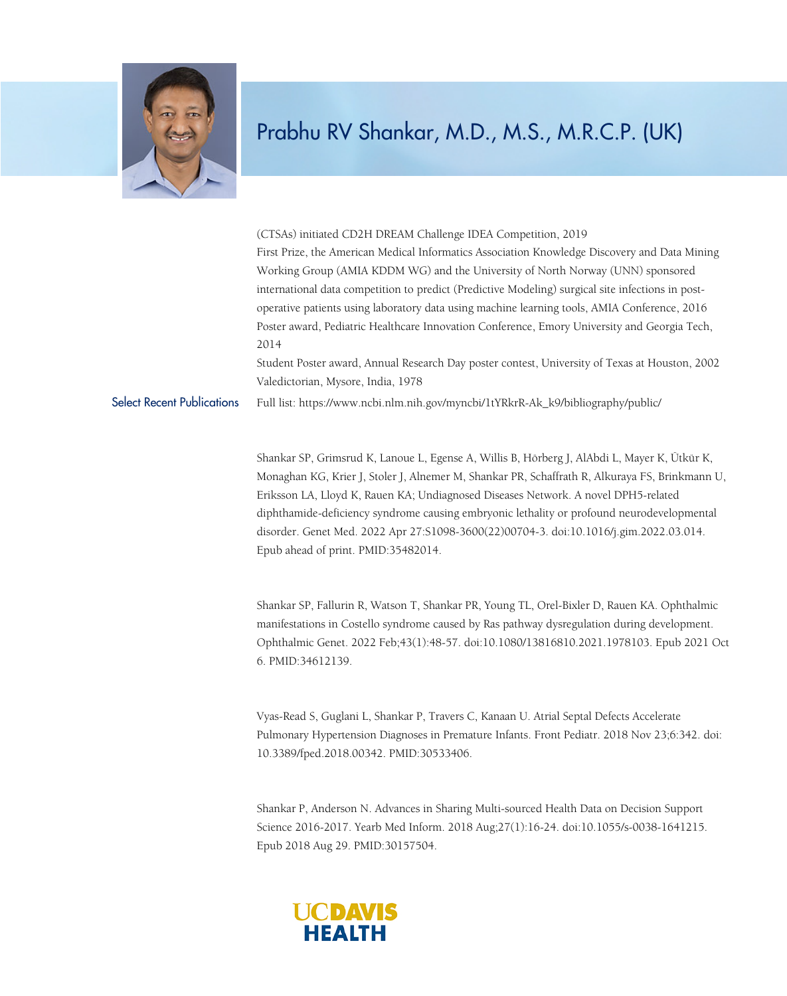

## Prabhu RV Shankar, M.D., M.S., M.R.C.P. (UK)

(CTSAs) initiated CD2H DREAM Challenge IDEA Competition, 2019 First Prize, the American Medical Informatics Association Knowledge Discovery and Data Mining Working Group (AMIA KDDM WG) and the University of North Norway (UNN) sponsored international data competition to predict (Predictive Modeling) surgical site infections in postoperative patients using laboratory data using machine learning tools, AMIA Conference, 2016 Poster award, Pediatric Healthcare Innovation Conference, Emory University and Georgia Tech, 2014

Student Poster award, Annual Research Day poster contest, University of Texas at Houston, 2002 Valedictorian, Mysore, India, 1978

Select Recent Publications Full list: https://www.ncbi.nlm.nih.gov/myncbi/1tYRkrR-Ak\_k9/bibliography/public/

Shankar SP, Grimsrud K, Lanoue L, Egense A, Willis B, Hörberg J, AlAbdi L, Mayer K, Ütkür K, Monaghan KG, Krier J, Stoler J, Alnemer M, Shankar PR, Schaffrath R, Alkuraya FS, Brinkmann U, Eriksson LA, Lloyd K, Rauen KA; Undiagnosed Diseases Network. A novel DPH5-related diphthamide-deficiency syndrome causing embryonic lethality or profound neurodevelopmental disorder. Genet Med. 2022 Apr 27:S1098-3600(22)00704-3. doi:10.1016/j.gim.2022.03.014. Epub ahead of print. PMID:35482014.

Shankar SP, Fallurin R, Watson T, Shankar PR, Young TL, Orel-Bixler D, Rauen KA. Ophthalmic manifestations in Costello syndrome caused by Ras pathway dysregulation during development. Ophthalmic Genet. 2022 Feb;43(1):48-57. doi:10.1080/13816810.2021.1978103. Epub 2021 Oct 6. PMID:34612139.

Vyas-Read S, Guglani L, Shankar P, Travers C, Kanaan U. Atrial Septal Defects Accelerate Pulmonary Hypertension Diagnoses in Premature Infants. Front Pediatr. 2018 Nov 23;6:342. doi: 10.3389/fped.2018.00342. PMID:30533406.

Shankar P, Anderson N. Advances in Sharing Multi-sourced Health Data on Decision Support Science 2016-2017. Yearb Med Inform. 2018 Aug;27(1):16-24. doi:10.1055/s-0038-1641215. Epub 2018 Aug 29. PMID:30157504.